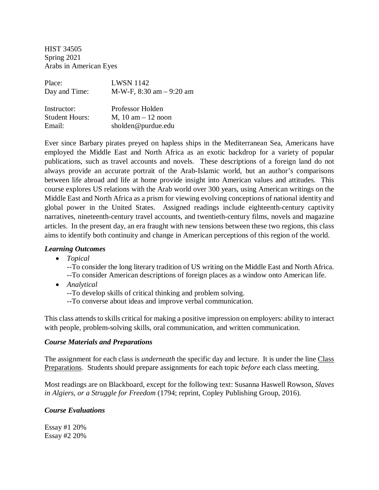HIST 34505 Spring 2021 Arabs in American Eyes

| Place:                | <b>LWSN 1142</b>                           |  |  |
|-----------------------|--------------------------------------------|--|--|
| Day and Time:         | M-W-F, $8:30 \text{ am} - 9:20 \text{ am}$ |  |  |
|                       |                                            |  |  |
| Instructor:           | Professor Holden                           |  |  |
| <b>Student Hours:</b> | $M$ , 10 am $-$ 12 noon                    |  |  |
| Email:                | sholden@purdue.edu                         |  |  |

Ever since Barbary pirates preyed on hapless ships in the Mediterranean Sea, Americans have employed the Middle East and North Africa as an exotic backdrop for a variety of popular publications, such as travel accounts and novels. These descriptions of a foreign land do not always provide an accurate portrait of the Arab-Islamic world, but an author's comparisons between life abroad and life at home provide insight into American values and attitudes. This course explores US relations with the Arab world over 300 years, using American writings on the Middle East and North Africa as a prism for viewing evolving conceptions of national identity and global power in the United States. Assigned readings include eighteenth-century captivity narratives, nineteenth-century travel accounts, and twentieth-century films, novels and magazine articles. In the present day, an era fraught with new tensions between these two regions, this class aims to identify both continuity and change in American perceptions of this region of the world.

### *Learning Outcomes*

• *Topical*

--To consider the long literary tradition of US writing on the Middle East and North Africa. --To consider American descriptions of foreign places as a window onto American life.

- *Analytical*
	- --To develop skills of critical thinking and problem solving.
	- --To converse about ideas and improve verbal communication.

This class attends to skills critical for making a positive impression on employers: ability to interact with people, problem-solving skills, oral communication, and written communication.

#### *Course Materials and Preparations*

The assignment for each class is *underneath* the specific day and lecture. It is under the line Class Preparations. Students should prepare assignments for each topic *before* each class meeting.

Most readings are on Blackboard, except for the following text: Susanna Haswell Rowson, *Slaves in Algiers, or a Struggle for Freedom* (1794; reprint, Copley Publishing Group, 2016).

#### *Course Evaluations*

Essay #1 20% Essay #2 20%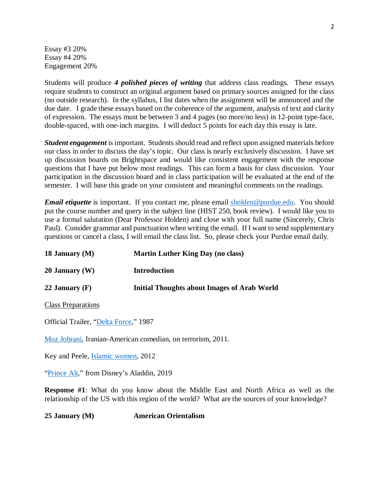Essay #3 20% Essay #4 20% Engagement 20%

Students will produce *4 polished pieces of writing* that address class readings. These essays require students to construct an original argument based on primary sources assigned for the class (no outside research). In the syllabus, I list dates when the assignment will be announced and the due date. I grade these essays based on the coherence of the argument, analysis of text and clarity of expression. The essays must be between 3 and 4 pages (no more/no less) in 12-point type-face, double-spaced, with one-inch margins. I will deduct 5 points for each day this essay is late.

*Student engagement* is important. Students should read and reflect upon assigned materials before our class in order to discuss the day's topic. Our class is nearly exclusively discussion. I have set up discussion boards on Brightspace and would like consistent engagement with the response questions that I have put below most readings. This can form a basis for class discussion. Your participation in the discussion board and in class participation will be evaluated at the end of the semester. I will base this grade on your consistent and meaningful comments on the readings.

*Email etiquette* is important. If you contact me, please email [sholden@purdue.edu.](mailto:sholden@purdue.edu) You should put the course number and query in the subject line (HIST 250, book review). I would like you to use a formal salutation (Dear Professor Holden) and close with your full name (Sincerely, Chris Paul). Consider grammar and punctuation when writing the email. If I want to send supplementary questions or cancel a class, I will email the class list. So, please check your Purdue email daily.

| 18 January (M) | <b>Martin Luther King Day (no class)</b>    |  |
|----------------|---------------------------------------------|--|
| 20 January (W) | Introduction                                |  |
| 22 January (F) | Initial Thoughts about Images of Arab World |  |

Class Preparations

Official Trailer, ["Delta Force,](https://www.youtube.com/watch?v=r-UCFBS4a5I)" 1987

[Moz Jobrani,](https://www.youtube.com/watch?v=oiJCLJMpC9Y) Iranian-American comedian, on terrorism, 2011.

Key and Peele, [Islamic women,](https://www.youtube.com/watch?v=IkTZ8BVAlFE) 2012

["Prince Ali,](https://www.youtube.com/watch?v=eGLSPyGszjo)" from Disney's Aladdin, 2019

**Response #1**: What do you know about the Middle East and North Africa as well as the relationship of the US with this region of the world? What are the sources of your knowledge?

**25 January (M) American Orientalism**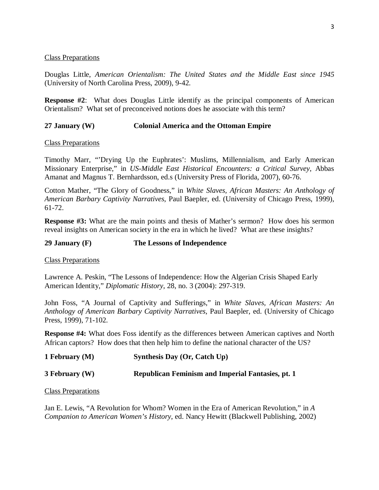#### Class Preparations

Douglas Little, *American Orientalism: The United States and the Middle East since 1945*  (University of North Carolina Press, 2009), 9-42.

**Response #2**: What does Douglas Little identify as the principal components of American Orientalism? What set of preconceived notions does he associate with this term?

### **27 January (W) Colonial America and the Ottoman Empire**

Class Preparations

Timothy Marr, "'Drying Up the Euphrates': Muslims, Millennialism, and Early American Missionary Enterprise," in *US-Middle East Historical Encounters: a Critical Survey*, Abbas Amanat and Magnus T. Bernhardsson, ed.s (University Press of Florida, 2007), 60-76.

Cotton Mather, "The Glory of Goodness," in *White Slaves, African Masters: An Anthology of American Barbary Captivity Narratives*, Paul Baepler, ed. (University of Chicago Press, 1999), 61-72.

**Response #3:** What are the main points and thesis of Mather's sermon? How does his sermon reveal insights on American society in the era in which he lived? What are these insights?

#### **29 January (F) The Lessons of Independence**

Class Preparations

Lawrence A. Peskin, "The Lessons of Independence: How the Algerian Crisis Shaped Early American Identity," *Diplomatic History*, 28, no. 3 (2004): 297-319.

John Foss, "A Journal of Captivity and Sufferings," in *White Slaves, African Masters: An Anthology of American Barbary Captivity Narratives*, Paul Baepler, ed. (University of Chicago Press, 1999), 71-102.

**Response #4:** What does Foss identify as the differences between American captives and North African captors? How does that then help him to define the national character of the US?

**1 February (M) Synthesis Day (Or, Catch Up)**

**3 February (W) Republican Feminism and Imperial Fantasies, pt. 1**

Class Preparations

Jan E. Lewis, "A Revolution for Whom? Women in the Era of American Revolution," in *A Companion to American Women's History*, ed. Nancy Hewitt (Blackwell Publishing, 2002)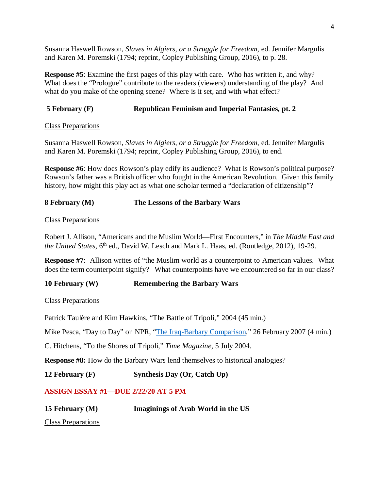Susanna Haswell Rowson, *Slaves in Algiers, or a Struggle for Freedom*, ed. Jennifer Margulis and Karen M. Poremski (1794; reprint, Copley Publishing Group, 2016), to p. 28.

**Response #5**: Examine the first pages of this play with care. Who has written it, and why? What does the "Prologue" contribute to the readers (viewers) understanding of the play? And what do you make of the opening scene? Where is it set, and with what effect?

### **5 February (F) Republican Feminism and Imperial Fantasies, pt. 2**

Class Preparations

Susanna Haswell Rowson, *Slaves in Algiers, or a Struggle for Freedom*, ed. Jennifer Margulis and Karen M. Poremski (1794; reprint, Copley Publishing Group, 2016), to end.

**Response #6**: How does Rowson's play edify its audience? What is Rowson's political purpose? Rowson's father was a British officer who fought in the American Revolution. Given this family history, how might this play act as what one scholar termed a "declaration of citizenship"?

# **8 February (M) The Lessons of the Barbary Wars**

Class Preparations

Robert J. Allison, "Americans and the Muslim World—First Encounters," in *The Middle East and the United States*, 6<sup>th</sup> ed., David W. Lesch and Mark L. Haas, ed. (Routledge, 2012), 19-29.

**Response #7**: Allison writes of "the Muslim world as a counterpoint to American values. What does the term counterpoint signify? What counterpoints have we encountered so far in our class?

# **10 February (W) Remembering the Barbary Wars**

Class Preparations

Patrick Taulère and Kim Hawkins, "The Battle of Tripoli," 2004 (45 min.)

Mike Pesca, "Day to Day" on NPR, ["The Iraq-Barbary Comparison,](https://www.npr.org/templates/story/story.php?storyId=7602136)" 26 February 2007 (4 min.)

C. Hitchens, "To the Shores of Tripoli," *Time Magazine*, 5 July 2004.

**Response #8:** How do the Barbary Wars lend themselves to historical analogies?

**12 February (F) Synthesis Day (Or, Catch Up)**

# **ASSIGN ESSAY #1—DUE 2/22/20 AT 5 PM**

| 15 February (M) | Imaginings of Arab World in the US |
|-----------------|------------------------------------|
|-----------------|------------------------------------|

Class Preparations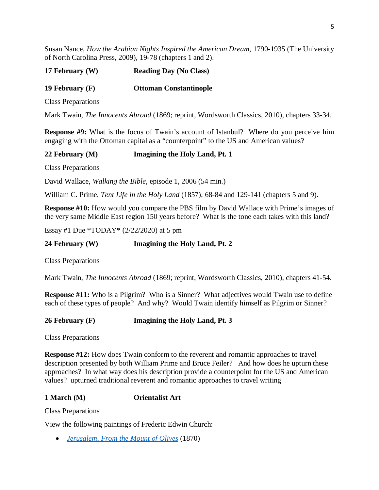Susan Nance, *How the Arabian Nights Inspired the American Dream*, 1790-1935 (The University of North Carolina Press, 2009), 19-78 (chapters 1 and 2).

| 17 February (W) | <b>Reading Day (No Class)</b> |
|-----------------|-------------------------------|
|-----------------|-------------------------------|

**19 February (F) Ottoman Constantinople**

Class Preparations

Mark Twain, *The Innocents Abroad* (1869; reprint, Wordsworth Classics, 2010), chapters 33-34.

**Response #9:** What is the focus of Twain's account of Istanbul? Where do you perceive him engaging with the Ottoman capital as a "counterpoint" to the US and American values?

### **22 February (M) Imagining the Holy Land, Pt. 1**

Class Preparations

David Wallace, *Walking the Bible*, episode 1, 2006 (54 min.)

William C. Prime, *Tent Life in the Holy Land* (1857), 68-84 and 129-141 (chapters 5 and 9).

**Response #10:** How would you compare the PBS film by David Wallace with Prime's images of the very same Middle East region 150 years before? What is the tone each takes with this land?

Essay #1 Due \*TODAY\* (2/22/2020) at 5 pm

**24 February (W) Imagining the Holy Land, Pt. 2**

Class Preparations

Mark Twain, *The Innocents Abroad* (1869; reprint, Wordsworth Classics, 2010), chapters 41-54.

**Response #11:** Who is a Pilgrim? Who is a Sinner? What adjectives would Twain use to define each of these types of people? And why? Would Twain identify himself as Pilgrim or Sinner?

**26 February (F) Imagining the Holy Land, Pt. 3**

Class Preparations

**Response #12:** How does Twain conform to the reverent and romantic approaches to travel description presented by both William Prime and Bruce Feiler? And how does he upturn these approaches? In what way does his description provide a counterpoint for the US and American values? upturned traditional reverent and romantic approaches to travel writing

**1 March (M) Orientalist Art**

Class Preparations

View the following paintings of Frederic Edwin Church:

• *[Jerusalem, From the Mount of Olives](http://www.artchive.com/artchive/c/church/church_jerusalem.jpg)* (1870)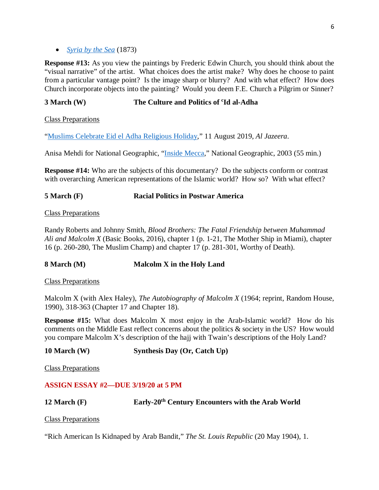**Response #13:** As you view the paintings by Frederic Edwin Church, you should think about the "visual narrative" of the artist. What choices does the artist make? Why does he choose to paint from a particular vantage point? Is the image sharp or blurry? And with what effect? How does Church incorporate objects into the painting? Would you deem F.E. Church a Pilgrim or Sinner?

# **3 March (W) The Culture and Politics of <sup>c</sup>Id al-Adha**

Class Preparations

["Muslims Celebrate Eid el Adha Religious Holiday,](https://www.aljazeera.com/news/2019/08/muslims-celebrate-eid-al-adha-religious-holiday-190811073635616.html)" 11 August 2019, *Al Jazeera*.

Anisa Mehdi for National Geographic, ["Inside Mecca,](https://www.youtube.com/watch?app=desktop&v=cwFZucL7PsE)" National Geographic, 2003 (55 min.)

**Response #14:** Who are the subjects of this documentary? Do the subjects conform or contrast with overarching American representations of the Islamic world? How so? With what effect?

### **5 March (F) Racial Politics in Postwar America**

Class Preparations

Randy Roberts and Johnny Smith, *Blood Brothers: The Fatal Friendship between Muhammad Ali and Malcolm X* (Basic Books, 2016), chapter 1 (p. 1-21, The Mother Ship in Miami), chapter 16 (p. 260-280, The Muslim Champ) and chapter 17 (p. 281-301, Worthy of Death).

**8 March (M) Malcolm X in the Holy Land**

Class Preparations

Malcolm X (with Alex Haley), *The Autobiography of Malcolm X* (1964; reprint, Random House, 1990), 318-363 (Chapter 17 and Chapter 18).

**Response #15:** What does Malcolm X most enjoy in the Arab-Islamic world? How do his comments on the Middle East reflect concerns about the politics & society in the US? How would you compare Malcolm X's description of the hajj with Twain's descriptions of the Holy Land?

**10 March (W) Synthesis Day (Or, Catch Up)**

Class Preparations

### **ASSIGN ESSAY #2—DUE 3/19/20 at 5 PM**

**12 March (F) Early-20th Century Encounters with the Arab World** 

Class Preparations

"Rich American Is Kidnaped by Arab Bandit," *The St. Louis Republic* (20 May 1904), 1.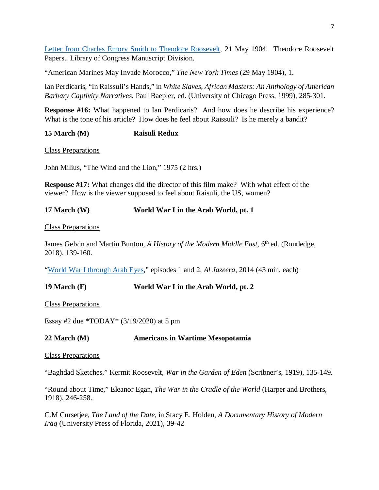[Letter from Charles Emory Smith to Theodore Roosevelt,](https://www.theodorerooseveltcenter.org/Research/Digital-Library/Record?libID=o45432) 21 May 1904. Theodore Roosevelt Papers. Library of Congress Manuscript Division.

"American Marines May Invade Morocco," *The New York Times* (29 May 1904), 1.

Ian Perdicaris, "In Raissuli's Hands," in *White Slaves, African Masters: An Anthology of American Barbary Captivity Narratives*, Paul Baepler, ed. (University of Chicago Press, 1999), 285-301.

**Response #16:** What happened to Ian Perdicaris? And how does he describe his experience? What is the tone of his article? How does he feel about Raissuli? Is he merely a bandit?

# **15 March (M) Raisuli Redux**

Class Preparations

John Milius, "The Wind and the Lion," 1975 (2 hrs.)

**Response #17:** What changes did the director of this film make? With what effect of the viewer? How is the viewer supposed to feel about Raisuli, the US, women?

# **17 March (W) World War I in the Arab World, pt. 1**

Class Preparations

James Gelvin and Martin Bunton, *A History of the Modern Middle East*, 6<sup>th</sup> ed. (Routledge, 2018), 139-160.

["World War I through Arab Eyes,](https://www.aljazeera.com/program/featured-documentaries/2014/12/3/world-war-one-through-arab-eyes)" episodes 1 and 2, *Al Jazeera*, 2014 (43 min. each)

**19 March (F) World War I in the Arab World, pt. 2**

Class Preparations

Essay #2 due \*TODAY\* (3/19/2020) at 5 pm

### **22 March (M) Americans in Wartime Mesopotamia**

### Class Preparations

"Baghdad Sketches," Kermit Roosevelt, *War in the Garden of Eden* (Scribner's, 1919), 135-149.

"Round about Time," Eleanor Egan, *The War in the Cradle of the World* (Harper and Brothers, 1918), 246-258.

C.M Cursetjee, *The Land of the Date*, in Stacy E. Holden, *A Documentary History of Modern Iraq* (University Press of Florida, 2021), 39-42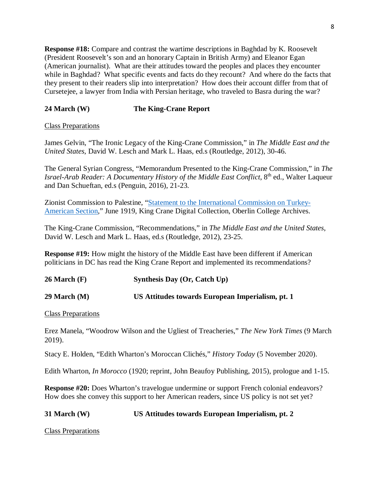**Response #18:** Compare and contrast the wartime descriptions in Baghdad by K. Roosevelt (President Roosevelt's son and an honorary Captain in British Army) and Eleanor Egan (American journalist). What are their attitudes toward the peoples and places they encounter while in Baghdad? What specific events and facts do they recount? And where do the facts that they present to their readers slip into interpretation? How does their account differ from that of Cursetejee, a lawyer from India with Persian heritage, who traveled to Basra during the war?

# **24 March (W) The King-Crane Report**

# Class Preparations

James Gelvin, "The Ironic Legacy of the King-Crane Commission," in *The Middle East and the United States*, David W. Lesch and Mark L. Haas, ed.s (Routledge, 2012), 30-46.

The General Syrian Congress, "Memorandum Presented to the King-Crane Commission," in *The Israel-Arab Reader: A Documentary History of the Middle East Conflict*, 8<sup>th</sup> ed., Walter Laqueur and Dan Schueftan, ed.s (Penguin, 2016), 21-23.

Zionist Commission to Palestine, ["Statement to the International Commission on Turkey-](http://dcollections.oberlin.edu/digital/collection/kingcrane/id/3197/rec/2)[American Section,](http://dcollections.oberlin.edu/digital/collection/kingcrane/id/3197/rec/2)" June 1919, King Crane Digital Collection, Oberlin College Archives.

The King-Crane Commission, "Recommendations," in *The Middle East and the United States*, David W. Lesch and Mark L. Haas, ed.s (Routledge, 2012), 23-25.

**Response #19:** How might the history of the Middle East have been different if American politicians in DC has read the King Crane Report and implemented its recommendations?

**26 March (F) Synthesis Day (Or, Catch Up)**

**29 March (M) US Attitudes towards European Imperialism, pt. 1**

Class Preparations

Erez Manela, "Woodrow Wilson and the Ugliest of Treacheries," *The New York Times* (9 March 2019).

Stacy E. Holden, "Edith Wharton's Moroccan Clichés," *History Today* (5 November 2020).

Edith Wharton, *In Morocco* (1920; reprint, John Beaufoy Publishing, 2015), prologue and 1-15.

**Response #20:** Does Wharton's travelogue undermine or support French colonial endeavors? How does she convey this support to her American readers, since US policy is not set yet?

# **31 March (W) US Attitudes towards European Imperialism, pt. 2**

Class Preparations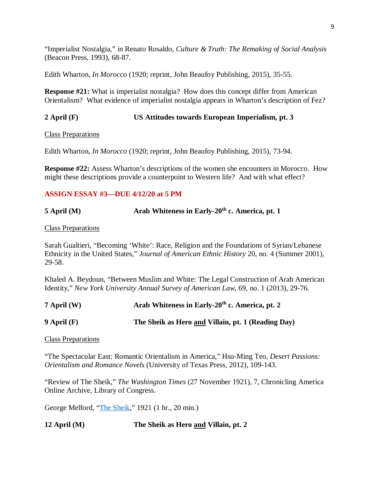"Imperialist Nostalgia," in Renato Rosaldo, *Culture & Truth: The Remaking of Social Analysis* (Beacon Press, 1993), 68-87.

Edith Wharton, *In Morocco* (1920; reprint, John Beaufoy Publishing, 2015), 35-55.

**Response #21:** What is imperialist nostalgia? How does this concept differ from American Orientalism? What evidence of imperialist nostalgia appears in Wharton's description of Fez?

### **2 April (F) US Attitudes towards European Imperialism, pt. 3**

Class Preparations

Edith Wharton, *In Morocco* (1920; reprint, John Beaufoy Publishing, 2015), 73-94.

**Response #22:** Assess Wharton's descriptions of the women she encounters in Morocco. How might these descriptions provide a counterpoint to Western life? And with what effect?

### **ASSIGN ESSAY #3—DUE 4/12/20 at 5 PM**

# **5 April (M)** Arab Whiteness in Early-20<sup>th</sup> **c. America, pt. 1**

Class Preparations

Sarah Gualtieri, "Becoming 'White': Race, Religion and the Foundations of Syrian/Lebanese Ethnicity in the United States," *Journal of American Ethnic History* 20, no. 4 (Summer 2001), 29-58.

Khaled A. Beydoun, "Between Muslim and White: The Legal Construction of Arab American Identity," *New York University Annual Survey of American Law*, 69, no. 1 (2013), 29-76.

**7 April (W) Arab Whiteness in Early-20th c. America, pt. 2**

**9 April (F) The Sheik as Hero and Villain, pt. 1 (Reading Day)**

Class Preparations

"The Spectacular East: Romantic Orientalism in America," Hsu-Ming Teo, *Desert Passions: Orientalism and Romance Novels* (University of Texas Press, 2012), 109-143.

"Review of The Sheik," *The Washington Times* (27 November 1921), 7, Chronicling America Online Archive, Library of Congress.

George Melford, ["The Sheik,](https://www.youtube.com/watch?v=KHuKDujA620&t=2353s)" 1921 (1 hr., 20 min.)

**12 April (M) The Sheik as Hero and Villain, pt. 2**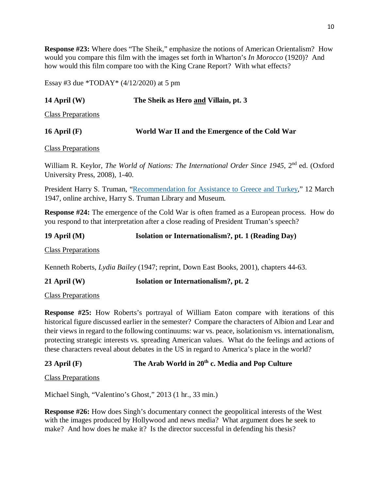**Response #23:** Where does "The Sheik," emphasize the notions of American Orientalism? How would you compare this film with the images set forth in Wharton's *In Morocco* (1920)? And how would this film compare too with the King Crane Report? With what effects?

Essay #3 due \*TODAY\*  $(4/12/2020)$  at 5 pm

# **14 April (W) The Sheik as Hero and Villain, pt. 3**

Class Preparations

|                | World War II and the Emergence of the Cold War |  |
|----------------|------------------------------------------------|--|
| 16 April $(F)$ |                                                |  |

Class Preparations

William R. Keylor, *The World of Nations: The International Order Since 1945*, 2<sup>nd</sup> ed. (Oxford University Press, 2008), 1-40.

President Harry S. Truman, ["Recommendation for Assistance to Greece and Turkey,](https://www.trumanlibrary.gov/library/research-files/address-president-congress-recommending-assistance-greece-and-turkey?documentid=NA&pagenumber=1)" 12 March 1947, online archive, Harry S. Truman Library and Museum.

**Response #24:** The emergence of the Cold War is often framed as a European process. How do you respond to that interpretation after a close reading of President Truman's speech?

**19 April (M) Isolation or Internationalism?, pt. 1 (Reading Day)** Class Preparations

Kenneth Roberts, *Lydia Bailey* (1947; reprint, Down East Books, 2001), chapters 44-63.

**21 April (W) Isolation or Internationalism?, pt. 2**

Class Preparations

**Response #25:** How Roberts's portrayal of William Eaton compare with iterations of this historical figure discussed earlier in the semester? Compare the characters of Albion and Lear and their views in regard to the following continuums: war vs. peace, isolationism vs. internationalism, protecting strategic interests vs. spreading American values. What do the feelings and actions of these characters reveal about debates in the US in regard to America's place in the world?

# **23 April (F) The Arab World in 20th c. Media and Pop Culture**

Class Preparations

Michael Singh, "Valentino's Ghost," 2013 (1 hr., 33 min.)

**Response #26:** How does Singh's documentary connect the geopolitical interests of the West with the images produced by Hollywood and news media? What argument does he seek to make? And how does he make it? Is the director successful in defending his thesis?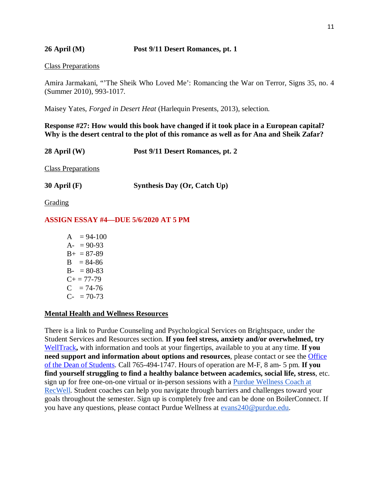**26 April (M) Post 9/11 Desert Romances, pt. 1**

#### Class Preparations

Amira Jarmakani, "'The Sheik Who Loved Me': Romancing the War on Terror, Signs 35, no. 4 (Summer 2010), 993-1017.

Maisey Yates, *Forged in Desert Heat* (Harlequin Presents, 2013), selection.

**Response #27: How would this book have changed if it took place in a European capital? Why is the desert central to the plot of this romance as well as for Ana and Sheik Zafar?** 

**28 April (W) Post 9/11 Desert Romances, pt. 2**

Class Preparations

**30 April (F) Synthesis Day (Or, Catch Up)**

**Grading** 

### **ASSIGN ESSAY #4—DUE 5/6/2020 AT 5 PM**

 $A = 94-100$  $A- = 90-93$  $B_{+} = 87 - 89$  $B = 84-86$  $B - 80-83$  $C_{+} = 77 - 79$  $C = 74-76$  $C_{-}$  = 70-73

#### **Mental Health and Wellness Resources**

There is a link to Purdue Counseling and Psychological Services on Brightspace, under the Student Services and Resources section. **If you feel stress, anxiety and/or overwhelmed, try**  [WellTrack](https://purdue.welltrack.com/)**,** with information and tools at your fingertips, available to you at any time. **If you need support and information about options and resources**, please contact or see the [Office](http://www.purdue.edu/odos)  [of the Dean of Students.](http://www.purdue.edu/odos) Call 765-494-1747. Hours of operation are M-F, 8 am- 5 pm. **If you find yourself struggling to find a healthy balance between academics, social life, stress**, etc. sign up for free one-on-one virtual or in-person sessions with a [Purdue Wellness Coach at](https://www.purdue.edu/recwell/fitness-wellness/wellness/one-on-one-coaching/wellness-coaching.php)  [RecWell.](https://www.purdue.edu/recwell/fitness-wellness/wellness/one-on-one-coaching/wellness-coaching.php) Student coaches can help you navigate through barriers and challenges toward your goals throughout the semester. Sign up is completely free and can be done on BoilerConnect. If you have any questions, please contact Purdue Wellness at [evans240@purdue.edu.](mailto:evans240@purdue.edu)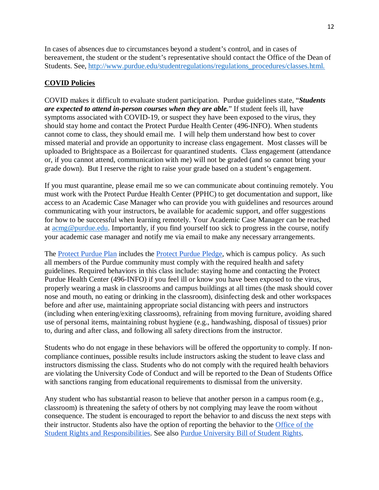In cases of absences due to circumstances beyond a student's control, and in cases of bereavement, the student or the student's representative should contact the Office of the Dean of Students. See, [http://www.purdue.edu/studentregulations/regulations\\_procedures/classes.html.](http://www.purdue.edu/studentregulations/regulations_procedures/classes.html)

# **COVID Policies**

COVID makes it difficult to evaluate student participation. Purdue guidelines state, "*Students are expected to attend in-person courses when they are able.*" If student feels ill, have symptoms associated with COVID-19, or suspect they have been exposed to the virus, they should stay home and contact the Protect Purdue Health Center (496-INFO). When students cannot come to class, they should email me. I will help them understand how best to cover missed material and provide an opportunity to increase class engagement. Most classes will be uploaded to Brightspace as a Boilercast for quarantined students. Class engagement (attendance or, if you cannot attend, communication with me) will not be graded (and so cannot bring your grade down). But I reserve the right to raise your grade based on a student's engagement.

If you must quarantine, please email me so we can communicate about continuing remotely. You must work with the Protect Purdue Health Center (PPHC) to get documentation and support, like access to an Academic Case Manager who can provide you with guidelines and resources around communicating with your instructors, be available for academic support, and offer suggestions for how to be successful when learning remotely. Your Academic Case Manager can be reached at [acmg@purdue.edu.](mailto:acmg@purdue.edu) Importantly, if you find yourself too sick to progress in the course, notify your academic case manager and notify me via email to make any necessary arrangements.

The [Protect Purdue Plan](https://protect.purdue.edu/plan/) includes the [Protect Purdue Pledge,](https://protect.purdue.edu/pledge/?_ga=2.210401429.1213937682.1590527202-1814553957.1589408073) which is campus policy. As such all members of the Purdue community must comply with the required health and safety guidelines. Required behaviors in this class include: staying home and contacting the Protect Purdue Health Center (496-INFO) if you feel ill or know you have been exposed to the virus, properly wearing a mask in classrooms and campus buildings at all times (the mask should cover nose and mouth, no eating or drinking in the classroom), disinfecting desk and other workspaces before and after use, maintaining appropriate social distancing with peers and instructors (including when entering/exiting classrooms), refraining from moving furniture, avoiding shared use of personal items, maintaining robust hygiene (e.g., handwashing, disposal of tissues) prior to, during and after class, and following all safety directions from the instructor.

Students who do not engage in these behaviors will be offered the opportunity to comply. If noncompliance continues, possible results include instructors asking the student to leave class and instructors dismissing the class. Students who do not comply with the required health behaviors are violating the University Code of Conduct and will be reported to the Dean of Students Office with sanctions ranging from educational requirements to dismissal from the university.

Any student who has substantial reason to believe that another person in a campus room (e.g., classroom) is threatening the safety of others by not complying may leave the room without consequence. The student is encouraged to report the behavior to and discuss the next steps with their instructor. Students also have the option of reporting the behavior to the [Office of the](https://www.purdue.edu/odos/osrr/)  [Student Rights and Responsibilities.](https://www.purdue.edu/odos/osrr/) See also [Purdue University Bill of Student Rights.](https://catalog.purdue.edu/content.php?catoid=7&navoid=2852#purdue-university-bill-of-student-rights)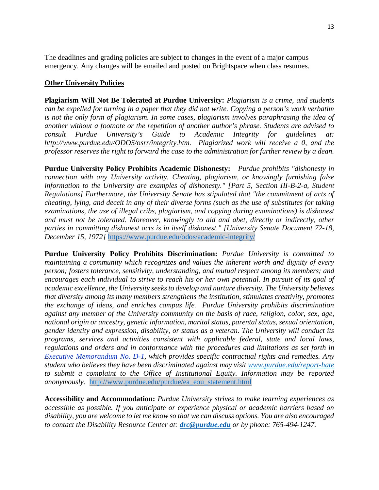The deadlines and grading policies are subject to changes in the event of a major campus emergency. Any changes will be emailed and posted on Brightspace when class resumes.

#### **Other University Policies**

**Plagiarism Will Not Be Tolerated at Purdue University:** *Plagiarism is a crime, and students can be expelled for turning in a paper that they did not write. Copying a person's work verbatim is not the only form of plagiarism. In some cases, plagiarism involves paraphrasing the idea of another without a footnote or the repetition of another author's phrase. Students are advised to consult Purdue University's Guide to Academic Integrity for guidelines at: http://www.purdue.edu/ODOS/osrr/integrity.htm. Plagiarized work will receive a 0, and the professor reserves the right to forward the case to the administration for further review by a dean.*

**Purdue University Policy Prohibits Academic Dishonesty:** *Purdue prohibits "dishonesty in connection with any University activity. Cheating, plagiarism, or knowingly furnishing false information to the University are examples of dishonesty." [Part 5, Section III-B-2-a, [Student](http://www.purdue.edu/univregs/)  [Regulations\]](http://www.purdue.edu/univregs/) Furthermore, the University Senate has stipulated that "the commitment of acts of cheating, lying, and deceit in any of their diverse forms (such as the use of substitutes for taking examinations, the use of illegal cribs, plagiarism, and copying during examinations) is dishonest and must not be tolerated. Moreover, knowingly to aid and abet, directly or indirectly, other parties in committing dishonest acts is in itself dishonest." [University Senate Document 72-18, December 15, 1972]* <https://www.purdue.edu/odos/academic-integrity/>

**Purdue University Policy Prohibits Discrimination:** *Purdue University is committed to maintaining a community which recognizes and values the inherent worth and dignity of every person; fosters tolerance, sensitivity, understanding, and mutual respect among its members; and*  encourages each individual to strive to reach his or her own potential. In pursuit of its goal of *academic excellence, the University seeks to develop and nurture diversity. The University believes that diversity among its many members strengthens the institution, stimulates creativity, promotes the exchange of ideas, and enriches campus life. Purdue University prohibits discrimination against any member of the University community on the basis of race, religion, color, sex, age, national origin or ancestry, genetic information, marital status, parental status, sexual orientation, gender identity and expression, disability, or status as a veteran. The University will conduct its programs, services and activities consistent with applicable federal, state and local laws, regulations and orders and in conformance with the procedures and limitations as set forth in [Executive Memorandum No. D-1,](http://www.purdue.edu/policies/pages/human_resources/d_1.html) which provides specific contractual rights and remedies. Any student who believes they have been discriminated against may visit [www.purdue.edu/report-hate](http://www.purdue.edu/report-hate) to submit a complaint to the Office of Institutional Equity. Information may be reported anonymously.* [http://www.purdue.edu/purdue/ea\\_eou\\_statement.html](http://www.purdue.edu/purdue/ea_eou_statement.html)

**Accessibility and Accommodation:** *Purdue University strives to make learning experiences as accessible as possible. If you anticipate or experience physical or academic barriers based on disability, you are welcome to let me know so that we can discuss options. You are also encouraged to contact the Disability Resource Center at: [drc@purdue.edu](mailto:drc@purdue.edu) or by phone: 765-494-1247.*